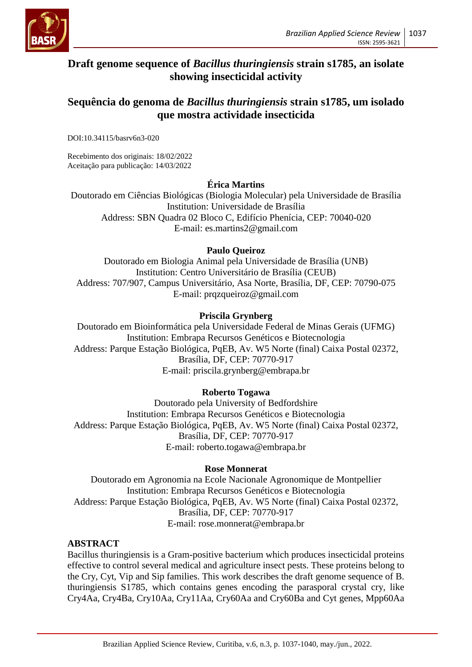

# **Draft genome sequence of** *Bacillus thuringiensis* **strain s1785, an isolate showing insecticidal activity**

## **Sequência do genoma de** *Bacillus thuringiensis* **strain s1785, um isolado que mostra actividade insecticida**

DOI:10.34115/basrv6n3-020

Recebimento dos originais: 18/02/2022 Aceitação para publicação: 14/03/2022

## **Érica Martins**

Doutorado em Ciências Biológicas (Biologia Molecular) pela Universidade de Brasília Institution: Universidade de Brasília Address: SBN Quadra 02 Bloco C, Edifício Phenícia, CEP: 70040-020 E-mail: es.martins2@gmail.com

#### **Paulo Queiroz**

Doutorado em Biologia Animal pela Universidade de Brasília (UNB) Institution: Centro Universitário de Brasília (CEUB) Address: 707/907, Campus Universitário, Asa Norte, Brasília, DF, CEP: 70790-075 E-mail: prqzqueiroz@gmail.com

## **Priscila Grynberg**

Doutorado em Bioinformática pela Universidade Federal de Minas Gerais (UFMG) Institution: Embrapa Recursos Genéticos e Biotecnologia Address: Parque Estação Biológica, PqEB, Av. W5 Norte (final) Caixa Postal 02372, Brasília, DF, CEP: 70770-917 E-mail: priscila.grynberg@embrapa.br

## **Roberto Togawa**

Doutorado pela University of Bedfordshire Institution: Embrapa Recursos Genéticos e Biotecnologia Address: Parque Estação Biológica, PqEB, Av. W5 Norte (final) Caixa Postal 02372, Brasília, DF, CEP: 70770-917 E-mail: roberto.togawa@embrapa.br

#### **Rose Monnerat**

Doutorado em Agronomia na Ecole Nacionale Agronomique de Montpellier Institution: Embrapa Recursos Genéticos e Biotecnologia Address: Parque Estação Biológica, PqEB, Av. W5 Norte (final) Caixa Postal 02372, Brasília, DF, CEP: 70770-917 E-mail: rose.monnerat@embrapa.br

#### **ABSTRACT**

Bacillus thuringiensis is a Gram-positive bacterium which produces insecticidal proteins effective to control several medical and agriculture insect pests. These proteins belong to the Cry, Cyt, Vip and Sip families. This work describes the draft genome sequence of B. thuringiensis S1785, which contains genes encoding the parasporal crystal cry, like Cry4Aa, Cry4Ba, Cry10Aa, Cry11Aa, Cry60Aa and Cry60Ba and Cyt genes, Mpp60Aa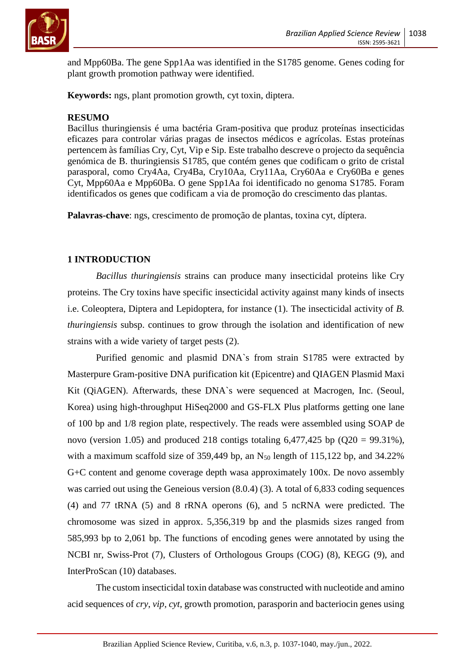

and Mpp60Ba. The gene Spp1Aa was identified in the S1785 genome. Genes coding for plant growth promotion pathway were identified.

**Keywords:** ngs, plant promotion growth, cyt toxin, diptera.

#### **RESUMO**

Bacillus thuringiensis é uma bactéria Gram-positiva que produz proteínas insecticidas eficazes para controlar várias pragas de insectos médicos e agrícolas. Estas proteínas pertencem às famílias Cry, Cyt, Vip e Sip. Este trabalho descreve o projecto da sequência genómica de B. thuringiensis S1785, que contém genes que codificam o grito de cristal parasporal, como Cry4Aa, Cry4Ba, Cry10Aa, Cry11Aa, Cry60Aa e Cry60Ba e genes Cyt, Mpp60Aa e Mpp60Ba. O gene Spp1Aa foi identificado no genoma S1785. Foram identificados os genes que codificam a via de promoção do crescimento das plantas.

**Palavras-chave**: ngs, crescimento de promoção de plantas, toxina cyt, díptera.

#### **1 INTRODUCTION**

*Bacillus thuringiensis* strains can produce many insecticidal proteins like Cry proteins. The Cry toxins have specific insecticidal activity against many kinds of insects i.e. Coleoptera, Diptera and Lepidoptera, for instance (1). The insecticidal activity of *B. thuringiensis* subsp. continues to grow through the isolation and identification of new strains with a wide variety of target pests (2).

Purified genomic and plasmid DNA`s from strain S1785 were extracted by Masterpure Gram-positive DNA purification kit (Epicentre) and QIAGEN Plasmid Maxi Kit (QiAGEN). Afterwards, these DNA`s were sequenced at Macrogen, Inc. (Seoul, Korea) using high-throughput HiSeq2000 and GS-FLX Plus platforms getting one lane of 100 bp and 1/8 region plate, respectively. The reads were assembled using SOAP de novo (version 1.05) and produced 218 contigs totaling  $6,477,425$  bp  $(Q20 = 99.31\%)$ , with a maximum scaffold size of 359,449 bp, an  $N_{50}$  length of 115,122 bp, and 34.22% G+C content and genome coverage depth wasa approximately 100x. De novo assembly was carried out using the Geneious version (8.0.4) (3). A total of 6,833 coding sequences (4) and 77 tRNA (5) and 8 rRNA operons (6), and 5 ncRNA were predicted. The chromosome was sized in approx. 5,356,319 bp and the plasmids sizes ranged from 585,993 bp to 2,061 bp. The functions of encoding genes were annotated by using the NCBI nr, Swiss-Prot (7), Clusters of Orthologous Groups (COG) (8), KEGG (9), and InterProScan (10) databases.

The custom insecticidal toxin database was constructed with nucleotide and amino acid sequences of *cry*, *vip*, *cyt*, growth promotion, parasporin and bacteriocin genes using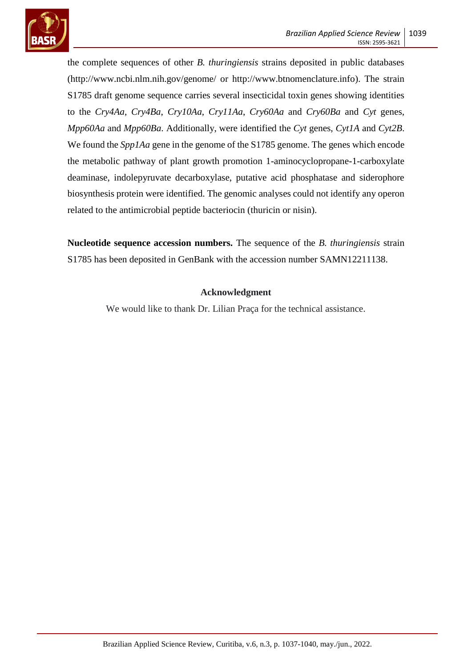

the complete sequences of other *B. thuringiensis* strains deposited in public databases (http://www.ncbi.nlm.nih.gov/genome/ or http://www.btnomenclature.info). The strain S1785 draft genome sequence carries several insecticidal toxin genes showing identities to the *Cry4Aa*, *Cry4Ba*, *Cry10Aa*, *Cry11Aa*, *Cry60Aa* and *Cry60Ba* and *Cyt* genes, *Mpp60Aa* and *Mpp60Ba*. Additionally, were identified the *Cyt* genes, *Cyt1A* and *Cyt2B*. We found the *Spp1Aa* gene in the genome of the S1785 genome. The genes which encode the metabolic pathway of plant growth promotion 1-aminocyclopropane-1-carboxylate deaminase, indolepyruvate decarboxylase, putative acid phosphatase and siderophore biosynthesis protein were identified. The genomic analyses could not identify any operon related to the antimicrobial peptide bacteriocin (thuricin or nisin).

**Nucleotide sequence accession numbers.** The sequence of the *B. thuringiensis* strain S1785 has been deposited in GenBank with the accession number SAMN12211138.

#### **Acknowledgment**

We would like to thank Dr. Lilian Praça for the technical assistance.